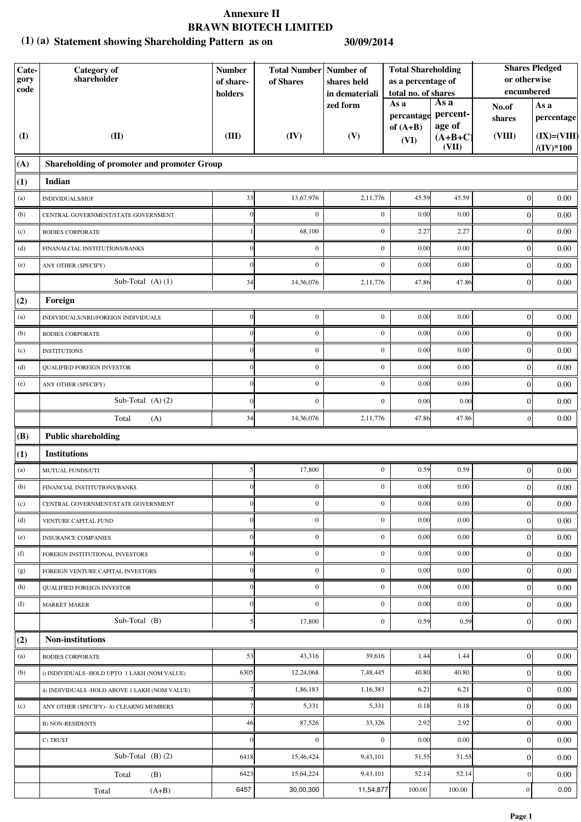#### **Statement showing Shareholding Pattern as on (1) (a) 30/09/2014**

| Cate-<br>gory<br>code | <b>Category</b> of<br>shareholder              | <b>Number</b><br>of share-<br>holders | <b>Total Number   Number of</b><br>of Shares | shares held<br>in demateriali | <b>Total Shareholding</b><br>as a percentage of<br>total no. of shares |                     | or otherwise<br>encumbered | <b>Shares Pledged</b>       |
|-----------------------|------------------------------------------------|---------------------------------------|----------------------------------------------|-------------------------------|------------------------------------------------------------------------|---------------------|----------------------------|-----------------------------|
|                       |                                                |                                       |                                              | zed form                      | As a<br>As a<br>percent-<br>percantage                                 |                     | No.of                      | As a                        |
| $\mathbf{I}$          | (II)                                           | (III)                                 | (IV)                                         | (V)                           | of $(A+B)$                                                             | age of<br>$(A+B+C)$ | shares<br>(VIII)           | percentage<br>$(IX)=(VIII)$ |
|                       |                                                |                                       |                                              |                               | (VI)                                                                   | (VII)               |                            | $/(\mathrm{IV})^*100$       |
| (A)                   | Shareholding of promoter and promoter Group    |                                       |                                              |                               |                                                                        |                     |                            |                             |
| (1)                   | Indian                                         |                                       |                                              |                               |                                                                        |                     |                            |                             |
| (a)                   | INDIVIDUALS/HUF                                | 33                                    | 13,67,976                                    | 2,11,776                      | 45.59                                                                  | 45.59               | $\boldsymbol{0}$           | 0.00                        |
| (b)                   | CENTRAL GOVERNMENT/STATE GOVERNMENT            |                                       | $\boldsymbol{0}$                             | $\boldsymbol{0}$              | 0.00                                                                   | 0.00                | $\boldsymbol{0}$           | 0.00                        |
| (c)                   | <b>BODIES CORPORATE</b>                        |                                       | 68,100                                       | $\boldsymbol{0}$              | 2.27                                                                   | 2.27                | $\boldsymbol{0}$           | 0.00                        |
| (d)                   | FINANALCIAL INSTITUTIONS/BANKS                 |                                       | $\mathbf{0}$                                 | $\mathbf{0}$                  | 0.00                                                                   | 0.00                | $\boldsymbol{0}$           | 0.00                        |
| (e)                   | ANY OTHER (SPECIFY)                            | $\sqrt{ }$                            | $\mathbf{0}$                                 | $\mathbf{0}$                  | 0.00                                                                   | 0.00                | $\boldsymbol{0}$           | 0.00                        |
|                       | Sub-Total $(A)$ $(1)$                          | 34                                    | 14,36,076                                    | 2,11,776                      | 47.86                                                                  | 47.86               | $\boldsymbol{0}$           | 0.00                        |
| (2)                   | Foreign                                        |                                       |                                              |                               |                                                                        |                     |                            |                             |
| (a)                   | INDIVIDUALS(NRI)/FOREIGN INDIVIDUALS           | $\overline{0}$                        | $\boldsymbol{0}$                             | $\boldsymbol{0}$              | 0.00                                                                   | 0.00                | $\boldsymbol{0}$           | 0.00                        |
| (b)                   | <b>BODIES CORPORATE</b>                        |                                       | $\boldsymbol{0}$                             | $\mathbf{0}$                  | 0.00                                                                   | 0.00                | $\boldsymbol{0}$           | 0.00                        |
| (c)                   | <b>INSTITUTIONS</b>                            |                                       | $\mathbf{0}$                                 | $\mathbf{0}$                  | 0.00                                                                   | 0.00                | $\boldsymbol{0}$           | 0.00                        |
| (d)                   | <b>QUALIFIED FOREIGN INVESTOR</b>              |                                       | $\boldsymbol{0}$                             | $\boldsymbol{0}$              | 0.00                                                                   | 0.00                | $\mathbf{0}$               | 0.00                        |
| (e)                   | ANY OTHER (SPECIFY)                            |                                       | $\boldsymbol{0}$                             | $\boldsymbol{0}$              | 0.00                                                                   | 0.00                | $\mathbf{0}$               | 0.00                        |
|                       | Sub-Total $(A)$ $(2)$                          |                                       | $\boldsymbol{0}$                             | $\mathbf{0}$                  | 0.00                                                                   | 0.00                | $\boldsymbol{0}$           | 0.00                        |
|                       | Total<br>(A)                                   | 34                                    | 14,36,076                                    | 2,11,776                      | 47.86                                                                  | 47.86               | $\boldsymbol{0}$           | 0.00                        |
| (B)                   | <b>Public shareholding</b>                     |                                       |                                              |                               |                                                                        |                     |                            |                             |
| (1)                   | <b>Institutions</b>                            |                                       |                                              |                               |                                                                        |                     |                            |                             |
| (a)                   | MUTUAL FUNDS/UTI                               | 5                                     | 17,800                                       | $\mathbf{0}$                  | 0.59                                                                   | 0.59                | $\boldsymbol{0}$           | 0.00                        |
| (b)                   | FINANCIAL INSTITUTIONS/BANKS                   |                                       | $\boldsymbol{0}$                             | $\mathbf{0}$                  | 0.00                                                                   | 0.00                | $\boldsymbol{0}$           | $0.00\,$                    |
| (c)                   | CENTRAL GOVERNMENT/STATE GOVERNMENT            | $\Omega$                              | $\boldsymbol{0}$                             | $\mathbf{0}$                  | 0.00                                                                   | 0.00                | $\boldsymbol{0}$           | 0.00                        |
| (d)                   | VENTURE CAPITAL FUND                           |                                       | $\boldsymbol{0}$                             | $\mathbf{0}$                  | 0.00                                                                   | 0.00                | $\boldsymbol{0}$           | 0.00                        |
| (e)                   | <b>INSURANCE COMPANIES</b>                     |                                       | $\boldsymbol{0}$                             | $\mathbf{0}$                  | 0.00                                                                   | 0.00                | $\boldsymbol{0}$           | 0.00                        |
| (f)                   | FOREIGN INSTITUTIONAL INVESTORS                |                                       | $\boldsymbol{0}$                             | $\boldsymbol{0}$              | 0.00                                                                   | 0.00                | $\boldsymbol{0}$           | 0.00                        |
| (g)                   | FOREIGN VENTURE CAPITAL INVESTORS              | $\Omega$                              | $\boldsymbol{0}$                             | $\mathbf{0}$                  | 0.00                                                                   | 0.00                | $\boldsymbol{0}$           | 0.00                        |
| (h)                   | QUALIFIED FOREIGN INVESTOR                     | $\sqrt{ }$                            | $\boldsymbol{0}$                             | $\mathbf{0}$                  | 0.00                                                                   | 0.00                | $\boldsymbol{0}$           | 0.00                        |
| (I)                   | <b>MARKET MAKER</b>                            | $\Omega$                              | $\mathbf{0}$                                 | $\boldsymbol{0}$              | 0.00                                                                   | 0.00                | $\boldsymbol{0}$           | 0.00                        |
|                       | Sub-Total (B)                                  | 5                                     | 17,800                                       | $\boldsymbol{0}$              | 0.59                                                                   | 0.59                | $\boldsymbol{0}$           | 0.00                        |
| (2)                   | <b>Non-institutions</b>                        |                                       |                                              |                               |                                                                        |                     |                            |                             |
| (a)                   | <b>BODIES CORPORATE</b>                        | 53                                    | 43,316                                       | 39,616                        | 1.44                                                                   | 1.44                | $\boldsymbol{0}$           | 0.00                        |
| (b)                   | i) INDIVIDUALS -HOLD UPTO 1 LAKH (NOM VALUE)   | 6305                                  | 12,24,068                                    | 7,48,445                      | 40.80                                                                  | 40.80               | $\boldsymbol{0}$           | 0.00                        |
|                       | ii) INDIVIDUALS -HOLD ABOVE 1 LAKH (NOM VALUE) |                                       | 1,86,183                                     | 1,16,383                      | 6.21                                                                   | 6.21                | $\boldsymbol{0}$           | 0.00                        |
| (c)                   | ANY OTHER (SPECIFY)- A) CLEARNG MEMBERS        |                                       | 5,331                                        | 5,331                         | 0.18                                                                   | 0.18                | $\boldsymbol{0}$           | 0.00                        |
|                       | <b>B) NON-RESIDENTS</b>                        | 46                                    | 87,526                                       | 33,326                        | 2.92                                                                   | 2.92                | $\boldsymbol{0}$           | 0.00                        |
|                       | C) TRUST                                       | $\sqrt{ }$                            | $\mathbf{0}$                                 | $\mathbf{0}$                  | 0.00                                                                   | 0.00                | $\mathbf{0}$               | 0.00                        |
|                       | Sub-Total $(B)(2)$                             | 6418                                  | 15,46,424                                    | 9,43,101                      | 51.55                                                                  | 51.55               | $\boldsymbol{0}$           | 0.00                        |
|                       | Total<br>(B)                                   | 6423                                  | 15,64,224                                    | 9,43,101                      | 52.14                                                                  | 52.14               | $\boldsymbol{0}$           | 0.00                        |
|                       | $(A+B)$<br>Total                               | 6457                                  | 30,00,300                                    | 11,54,877                     | 100.00                                                                 | 100.00              | $\vert 0 \vert$            | 0.00                        |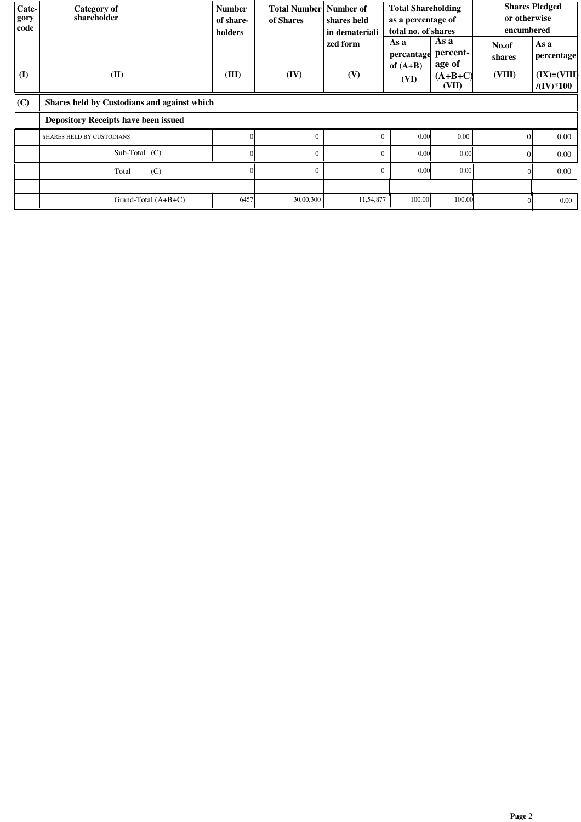| Cate-<br>gory<br>code | Category of<br>shareholder                  | <b>Number</b><br>of share-<br>holders | <b>Total Number</b> Number of<br>of Shares | shares held<br>in demateriali<br>zed form | <b>Total Shareholding</b><br>as a percentage of<br>total no. of shares<br>As a<br>As a<br>percent-<br>percantage<br>age of |                    | or otherwise<br>encumbered<br>No.of<br>shares | <b>Shares Pledged</b><br>As a<br>percentage |  |
|-----------------------|---------------------------------------------|---------------------------------------|--------------------------------------------|-------------------------------------------|----------------------------------------------------------------------------------------------------------------------------|--------------------|-----------------------------------------------|---------------------------------------------|--|
| (I)                   | (II)                                        | (III)                                 | (IV)                                       | (V)                                       | of $(A+B)$<br>(VI)                                                                                                         | $(A+B+C)$<br>(VII) | (VIII)                                        | $(IX)=(VIII)$<br>$/(\mathrm{IV})^*100$      |  |
| $ $ (C)               | Shares held by Custodians and against which |                                       |                                            |                                           |                                                                                                                            |                    |                                               |                                             |  |
|                       | <b>Depository Receipts have been issued</b> |                                       |                                            |                                           |                                                                                                                            |                    |                                               |                                             |  |
|                       | SHARES HELD BY CUSTODIANS                   |                                       | $\theta$                                   | $\Omega$                                  | 0.00                                                                                                                       | 0.00               | $\Omega$                                      | 0.00                                        |  |
|                       | Sub-Total (C)                               |                                       | $\mathbf{0}$                               | $\Omega$                                  | 0.00                                                                                                                       | 0.00               | $\Omega$                                      | 0.00                                        |  |
|                       | (C)<br>Total                                |                                       | $\Omega$                                   | $\Omega$                                  | 0.00                                                                                                                       | 0.00               | $\Omega$                                      | 0.00                                        |  |
|                       |                                             |                                       |                                            |                                           |                                                                                                                            |                    |                                               |                                             |  |
|                       | Grand-Total $(A+B+C)$                       | 6457                                  | 30,00,300                                  | 11,54,877                                 | 100.00                                                                                                                     | 100.00             |                                               | $0.00\,$                                    |  |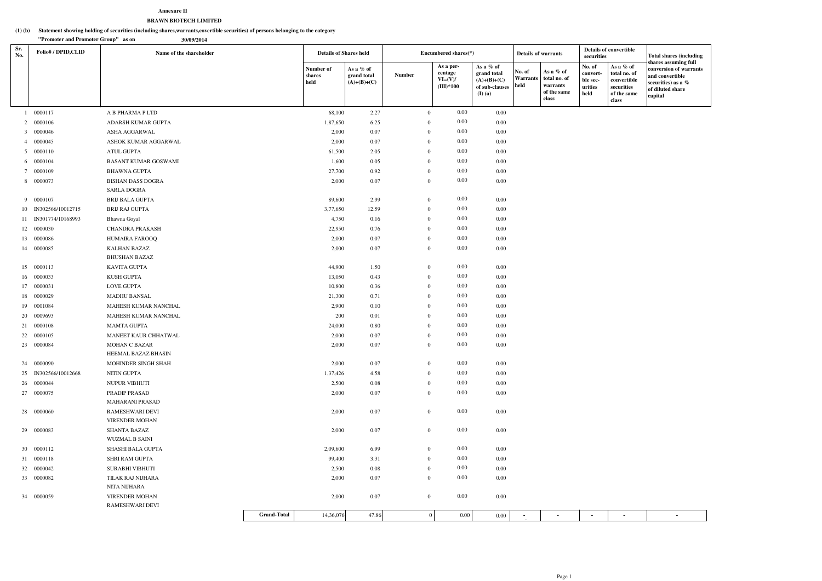#### **Statement showing holding of securities (including shares,warrants,covertible securities) of persons belonging to the category (1) (b)**

#### **Annexure IIBRAWN BIOTECH LIMITED**

**"Promoter and Promoter Group" as on 30/09/2014**

| Sr.<br>No. | <b>Folio#/DPID,CLID</b> | Name of the shareholder                  |                    | <b>Details of Shares held</b> |                                           | Encumbered shares(*) |                                                  | <b>Details of warrants</b>                                                 |                                   | Details of convertible<br>securities                            |                                                            | Total shares (including                                                        |                                                                                                                        |
|------------|-------------------------|------------------------------------------|--------------------|-------------------------------|-------------------------------------------|----------------------|--------------------------------------------------|----------------------------------------------------------------------------|-----------------------------------|-----------------------------------------------------------------|------------------------------------------------------------|--------------------------------------------------------------------------------|------------------------------------------------------------------------------------------------------------------------|
|            |                         |                                          |                    | Number of<br>shares<br>held   | As a % of<br>grand total<br>$(A)+(B)+(C)$ | <b>Number</b>        | As a per-<br>centage<br>$VI=(V)/$<br>$(III)*100$ | As a % of<br>grand total<br>$(A)+(B)+(C)$<br>of sub-clauses<br>$(I)$ $(a)$ | No. of<br><b>Warrants</b><br>held | As a $%$ of<br>total no. of<br>warrants<br>of the same<br>class | No. of<br>convert-<br>ble sec-<br>urities<br>$\bold{held}$ | As a % of<br>total no. of<br>convertible<br>securities<br>of the same<br>class | shares assuming full<br>conversion of warrants<br>and convertible<br>securities) as a %<br>of diluted share<br>capital |
|            | 1 0000117               | A B PHARMA P LTD                         |                    | 68,100                        | 2.27                                      | $\mathbf{0}$         | $0.00\,$                                         | 0.00                                                                       |                                   |                                                                 |                                                            |                                                                                |                                                                                                                        |
|            | 2 0000106               | ADARSH KUMAR GUPTA                       |                    | 1,87,650                      | 6.25                                      | $\theta$             | $0.00\,$                                         | 0.00                                                                       |                                   |                                                                 |                                                            |                                                                                |                                                                                                                        |
|            | 3 0000046               | <b>ASHA AGGARWAL</b>                     |                    | 2,000                         | 0.07                                      | $\theta$             | 0.00                                             | 0.00                                                                       |                                   |                                                                 |                                                            |                                                                                |                                                                                                                        |
|            | 4 0000045               | ASHOK KUMAR AGGARWAL                     |                    | 2,000                         | 0.07                                      | $\overline{0}$       | $0.00\,$                                         | 0.00                                                                       |                                   |                                                                 |                                                            |                                                                                |                                                                                                                        |
|            | 5 0000110               | ATUL GUPTA                               |                    | 61,500                        | 2.05                                      | $\theta$             | 0.00                                             | 0.00                                                                       |                                   |                                                                 |                                                            |                                                                                |                                                                                                                        |
|            | 6 0000104               | <b>BASANT KUMAR GOSWAMI</b>              |                    | 1,600                         | 0.05                                      | $\overline{0}$       | $0.00\,$                                         | 0.00                                                                       |                                   |                                                                 |                                                            |                                                                                |                                                                                                                        |
|            | 7 0000109               | <b>BHAWNA GUPTA</b>                      |                    | 27,700                        | 0.92                                      | $\overline{0}$       | $0.00\,$                                         | 0.00                                                                       |                                   |                                                                 |                                                            |                                                                                |                                                                                                                        |
|            | 8 0000073               | <b>BISHAN DASS DOGRA</b>                 |                    | 2,000                         | 0.07                                      | $\overline{0}$       | 0.00                                             | 0.00                                                                       |                                   |                                                                 |                                                            |                                                                                |                                                                                                                        |
|            |                         | <b>SARLA DOGRA</b>                       |                    |                               |                                           |                      |                                                  |                                                                            |                                   |                                                                 |                                                            |                                                                                |                                                                                                                        |
|            | 9 0000107               | <b>BRIJ BALA GUPTA</b>                   |                    | 89,600                        | 2.99                                      | $\overline{0}$       | $0.00\,$                                         | 0.00                                                                       |                                   |                                                                 |                                                            |                                                                                |                                                                                                                        |
|            | 10 IN302566/10012715    | <b>BRIJ RAJ GUPTA</b>                    |                    | 3,77,650                      | 12.59                                     | $\overline{0}$       | 0.00                                             | 0.00                                                                       |                                   |                                                                 |                                                            |                                                                                |                                                                                                                        |
|            | 11 IN301774/10168993    | Bhawna Goyal                             |                    | 4,750                         | 0.16                                      | $\mathbf{0}$         | $0.00\,$                                         | 0.00                                                                       |                                   |                                                                 |                                                            |                                                                                |                                                                                                                        |
|            | 12 0000030              | CHANDRA PRAKASH                          |                    | 22,950                        | 0.76                                      | $\overline{0}$       | $0.00\,$                                         | 0.00                                                                       |                                   |                                                                 |                                                            |                                                                                |                                                                                                                        |
|            | 13 0000086              | HUMAIRA FAROOQ                           |                    | 2,000                         | 0.07                                      | $\mathbf{0}$         | 0.00                                             | 0.00                                                                       |                                   |                                                                 |                                                            |                                                                                |                                                                                                                        |
|            | 14 0000085              | <b>KALHAN BAZAZ</b>                      |                    | 2,000                         | 0.07                                      | $\mathbf{0}$         | 0.00                                             | 0.00                                                                       |                                   |                                                                 |                                                            |                                                                                |                                                                                                                        |
|            |                         | <b>BHUSHAN BAZAZ</b>                     |                    |                               |                                           |                      |                                                  |                                                                            |                                   |                                                                 |                                                            |                                                                                |                                                                                                                        |
|            | 15 0000113              | KAVITA GUPTA                             |                    | 44,900                        | 1.50                                      | $\overline{0}$       | $0.00\,$                                         | 0.00                                                                       |                                   |                                                                 |                                                            |                                                                                |                                                                                                                        |
|            | 16 0000033              | KUSH GUPTA                               |                    | 13,050                        | 0.43                                      | $\mathbf{0}$         | 0.00                                             | 0.00                                                                       |                                   |                                                                 |                                                            |                                                                                |                                                                                                                        |
|            | 17 0000031              | <b>LOVE GUPTA</b>                        |                    | 10,800                        | 0.36                                      | $\overline{0}$       | $0.00\,$                                         | 0.00                                                                       |                                   |                                                                 |                                                            |                                                                                |                                                                                                                        |
|            | 18 0000029              | <b>MADHU BANSAL</b>                      |                    | 21,300                        | 0.71                                      | $\Omega$             | $0.00\,$                                         | 0.00                                                                       |                                   |                                                                 |                                                            |                                                                                |                                                                                                                        |
|            | 19 0001084              | MAHESH KUMAR NANCHAL                     |                    | 2,900                         | 0.10                                      | $\theta$             | $0.00\,$                                         | 0.00                                                                       |                                   |                                                                 |                                                            |                                                                                |                                                                                                                        |
|            | 20 0009693              | MAHESH KUMAR NANCHAL                     |                    | 200                           | 0.01                                      | $\overline{0}$       | 0.00                                             | 0.00                                                                       |                                   |                                                                 |                                                            |                                                                                |                                                                                                                        |
|            | 21 0000108              | MAMTA GUPTA                              |                    | 24,000                        | 0.80                                      | $\mathbf{0}$         | $0.00\,$                                         | 0.00                                                                       |                                   |                                                                 |                                                            |                                                                                |                                                                                                                        |
|            | 22 0000105              | MANEET KAUR CHHATWAL                     |                    | 2,000                         | 0.07                                      | $\overline{0}$       | 0.00                                             | 0.00                                                                       |                                   |                                                                 |                                                            |                                                                                |                                                                                                                        |
|            | 23 0000084              | MOHAN C BAZAR                            |                    | 2,000                         | 0.07                                      | $\overline{0}$       | $0.00\,$                                         | 0.00                                                                       |                                   |                                                                 |                                                            |                                                                                |                                                                                                                        |
|            |                         | HEEMAL BAZAZ BHASIN                      |                    |                               |                                           |                      |                                                  |                                                                            |                                   |                                                                 |                                                            |                                                                                |                                                                                                                        |
|            | 24 0000090              | MOHINDER SINGH SHAH                      |                    | 2,000                         | 0.07                                      | $\mathbf{0}$         | 0.00                                             | 0.00                                                                       |                                   |                                                                 |                                                            |                                                                                |                                                                                                                        |
|            | 25 IN302566/10012668    | NITIN GUPTA                              |                    | 1,37,426                      | 4.58                                      | $\overline{0}$       | $0.00\,$                                         | 0.00                                                                       |                                   |                                                                 |                                                            |                                                                                |                                                                                                                        |
|            | 26 0000044              | NUPUR VIBHUTI                            |                    | 2,500                         | 0.08                                      | $\overline{0}$       | $0.00\,$                                         | $0.00\,$                                                                   |                                   |                                                                 |                                                            |                                                                                |                                                                                                                        |
|            | 27 0000075              | PRADIP PRASAD                            |                    | 2,000                         | 0.07                                      | $\overline{0}$       | $0.00\,$                                         | 0.00                                                                       |                                   |                                                                 |                                                            |                                                                                |                                                                                                                        |
|            |                         | MAHARANI PRASAD                          |                    |                               |                                           |                      |                                                  |                                                                            |                                   |                                                                 |                                                            |                                                                                |                                                                                                                        |
|            | 28 0000060              | RAMESHWARI DEVI                          |                    | 2,000                         | 0.07                                      | $\overline{0}$       | $0.00\,$                                         | 0.00                                                                       |                                   |                                                                 |                                                            |                                                                                |                                                                                                                        |
|            |                         | <b>VIRENDER MOHAN</b>                    |                    |                               |                                           |                      |                                                  |                                                                            |                                   |                                                                 |                                                            |                                                                                |                                                                                                                        |
|            | 29 00000083             | <b>SHANTA BAZAZ</b>                      |                    | 2,000                         | 0.07                                      | $\overline{0}$       | $0.00\,$                                         | 0.00                                                                       |                                   |                                                                 |                                                            |                                                                                |                                                                                                                        |
|            |                         | WUZMAL B SAINI                           |                    |                               |                                           |                      |                                                  |                                                                            |                                   |                                                                 |                                                            |                                                                                |                                                                                                                        |
|            | 30 0000112              | SHASHI BALA GUPTA                        |                    | 2,09,600                      | 6.99                                      | $\overline{0}$       | $0.00\,$                                         | 0.00                                                                       |                                   |                                                                 |                                                            |                                                                                |                                                                                                                        |
|            | 31 0000118              | SHRI RAM GUPTA                           |                    | 99,400                        | 3.31                                      | $\mathbf{0}$         | $0.00\,$                                         | $0.00\,$                                                                   |                                   |                                                                 |                                                            |                                                                                |                                                                                                                        |
|            | 32 0000042              | SURABHI VIBHUTI                          |                    | 2,500                         | 0.08                                      | $\overline{0}$       | $0.00\,$                                         | 0.00                                                                       |                                   |                                                                 |                                                            |                                                                                |                                                                                                                        |
|            | 33 0000082              | TILAK RAJ NIJHARA                        |                    | 2,000                         | 0.07                                      | $\overline{0}$       | $0.00\,$                                         | 0.00                                                                       |                                   |                                                                 |                                                            |                                                                                |                                                                                                                        |
|            |                         | NITA NIJHARA                             |                    |                               |                                           |                      |                                                  |                                                                            |                                   |                                                                 |                                                            |                                                                                |                                                                                                                        |
|            | 34 0000059              | <b>VIRENDER MOHAN</b><br>RAMESHWARI DEVI |                    | 2,000                         | 0.07                                      | $\overline{0}$       | $0.00\,$                                         | 0.00                                                                       |                                   |                                                                 |                                                            |                                                                                |                                                                                                                        |
|            |                         |                                          | <b>Grand-Total</b> | 14,36,076                     | 47.86                                     | $\overline{0}$       | $0.00\,$                                         |                                                                            | $\overline{\phantom{a}}$          | $\overline{\phantom{a}}$                                        | $\sim$                                                     | $\overline{\phantom{a}}$                                                       | $\sim$                                                                                                                 |
|            |                         |                                          |                    |                               |                                           |                      |                                                  | $0.00\,$                                                                   |                                   |                                                                 |                                                            |                                                                                |                                                                                                                        |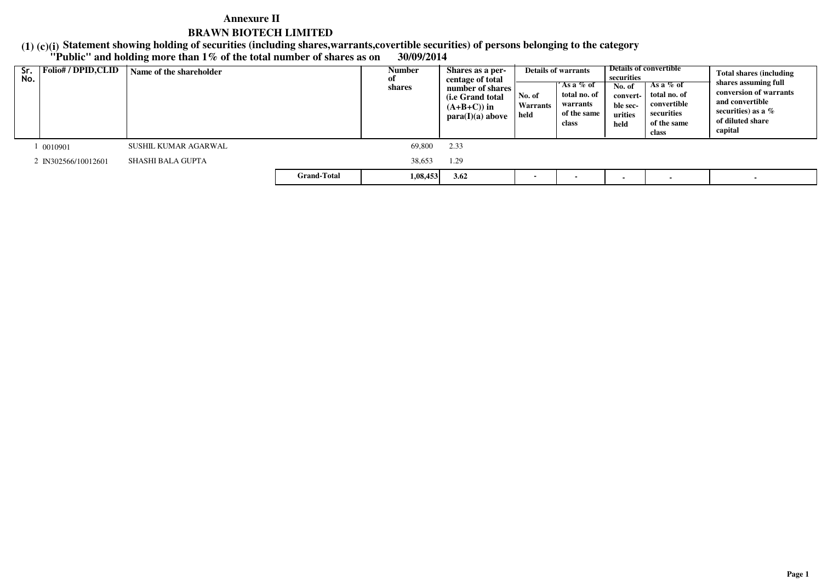**Statement showing holding of securities (including shares,warrants,covertible securities) of persons belonging to the category**

# **(1) (c)(i) "Public" and holding more than 1% of the total number of shares as on 30/09/2014**

| Sr.<br>No.          | <b>Folio#/DPID,CLID</b> | Name of the shareholder |                    | Shares as a per-<br><b>Number</b><br>centage of total<br>shares<br>number of shares<br>( <i>i.e</i> Grand total)<br>$(A+B+C)$ in<br>para(I)(a) above |      | No. of<br>Warrants<br>held | <b>Details of warrants</b><br>$'$ As a $\%$ of<br>total no. of<br>warrants<br>of the same<br>class | securities<br>No. of<br>convert<br>ble sec-<br>urities<br>held | Details of convertible<br>As a $%$ of<br>total no. of<br>convertible<br>securities<br>of the same<br>class | <b>Total shares (including</b><br>shares assuming full<br>conversion of warrants<br>and convertible<br>securities) as a $\%$<br>of diluted share<br>capital |
|---------------------|-------------------------|-------------------------|--------------------|------------------------------------------------------------------------------------------------------------------------------------------------------|------|----------------------------|----------------------------------------------------------------------------------------------------|----------------------------------------------------------------|------------------------------------------------------------------------------------------------------------|-------------------------------------------------------------------------------------------------------------------------------------------------------------|
|                     | 0010901                 | SUSHIL KUMAR AGARWAL    |                    | 69,800                                                                                                                                               | 2.33 |                            |                                                                                                    |                                                                |                                                                                                            |                                                                                                                                                             |
| 2 IN302566/10012601 |                         | SHASHI BALA GUPTA       |                    | 38,653                                                                                                                                               | 1.29 |                            |                                                                                                    |                                                                |                                                                                                            |                                                                                                                                                             |
|                     |                         |                         | <b>Grand-Total</b> | 1,08,453                                                                                                                                             | 3.62 |                            |                                                                                                    |                                                                |                                                                                                            |                                                                                                                                                             |

 $\sim$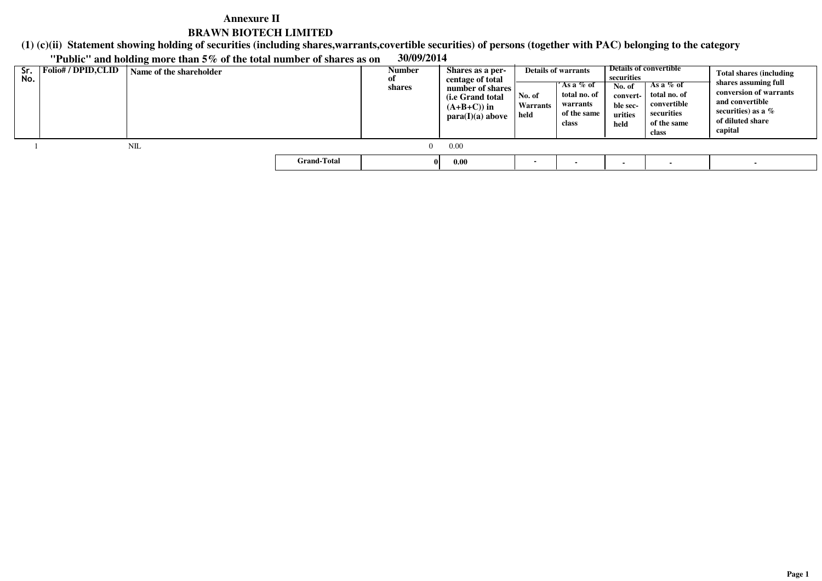**(1) (c)(ii)Statement showing holding of securities (including shares,warrants,covertible securities) of persons (together with PAC) belonging to the category**

**"Public" and holding more than 5% of the total number of shares as on 30/09/2014**

| Sr.<br>No. | Folio# / DPID,CLID | Name of the shareholder |                    | Number<br>0Ī<br>shares | Shares as a per-<br>centage of total<br>number of shares<br>(i.e Grand total)<br>$(A+B+C)$ in<br>para(I)(a) above | No. of<br>Warrants<br>held | <b>Details of warrants</b><br>'As a % of<br>total no. of<br>warrants<br>of the same<br>class | securities<br>No. of<br>convert-<br>ble sec-<br>urities<br>held | Details of convertible<br>As a $%$ of<br>total no. of<br>convertible<br>securities<br>of the same<br>class | <b>Total shares (including</b><br>shares assuming full<br>conversion of warrants<br>and convertible<br>securities) as a $%$<br>of diluted share<br>capital |
|------------|--------------------|-------------------------|--------------------|------------------------|-------------------------------------------------------------------------------------------------------------------|----------------------------|----------------------------------------------------------------------------------------------|-----------------------------------------------------------------|------------------------------------------------------------------------------------------------------------|------------------------------------------------------------------------------------------------------------------------------------------------------------|
|            |                    | NIL                     |                    |                        | 0.00                                                                                                              |                            |                                                                                              |                                                                 |                                                                                                            |                                                                                                                                                            |
|            |                    |                         | <b>Grand-Total</b> |                        | 0.00                                                                                                              |                            |                                                                                              |                                                                 |                                                                                                            |                                                                                                                                                            |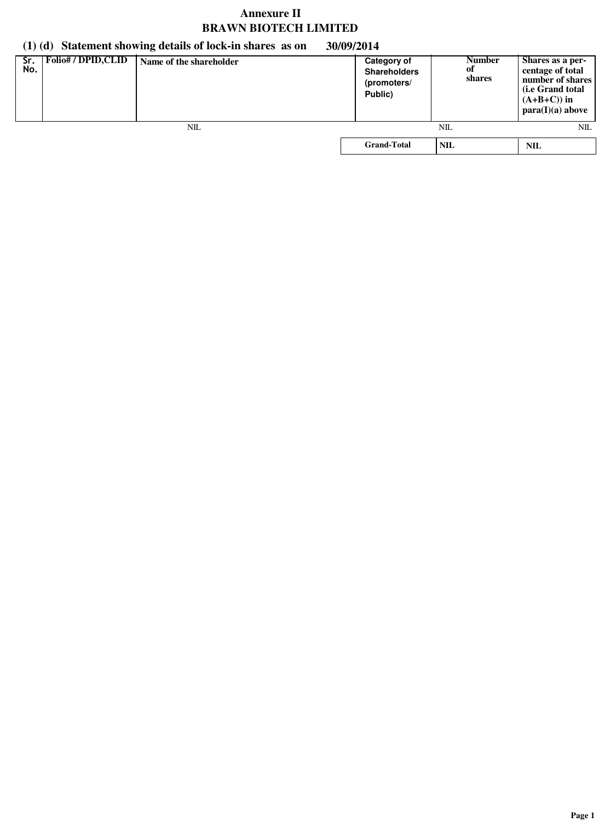# **(1) (d) Statement showing details of lock-in shares as on 30/09/2014**

| Sr.<br>No. | Folio# / DPID,CLID | Name of the shareholder | <b>Category of</b><br><b>Shareholders</b><br>(promoters/<br>Public) | <b>Number</b><br>оf<br>shares | Shares as a per-<br>centage of total<br>number of shares<br>(i.e Grand total<br>$(A+B+C)$ in<br>para(I)(a) above |
|------------|--------------------|-------------------------|---------------------------------------------------------------------|-------------------------------|------------------------------------------------------------------------------------------------------------------|
|            |                    | NIL                     |                                                                     | NIL                           | NIL                                                                                                              |
|            |                    |                         | <b>Grand-Total</b>                                                  | <b>NIL</b>                    | NIL                                                                                                              |